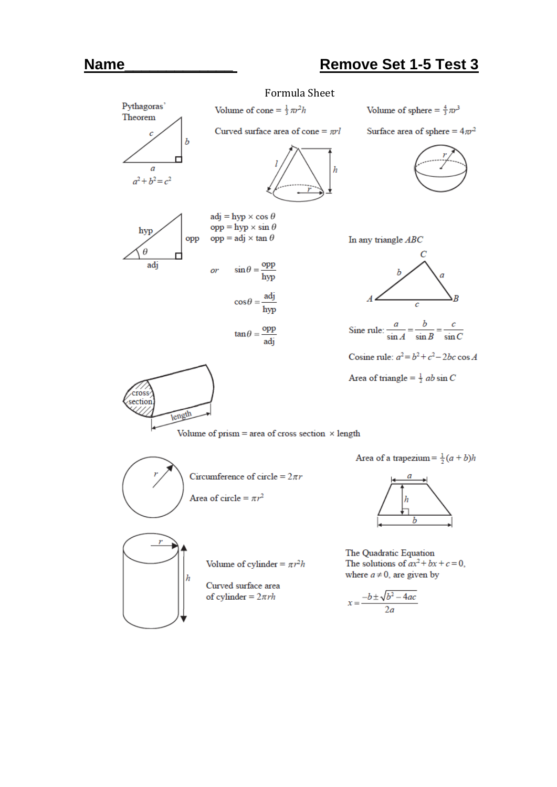## **Name\_\_\_\_\_\_\_\_\_\_\_\_\_ Remove Set 1-5 Test 3**

## Formula Sheet

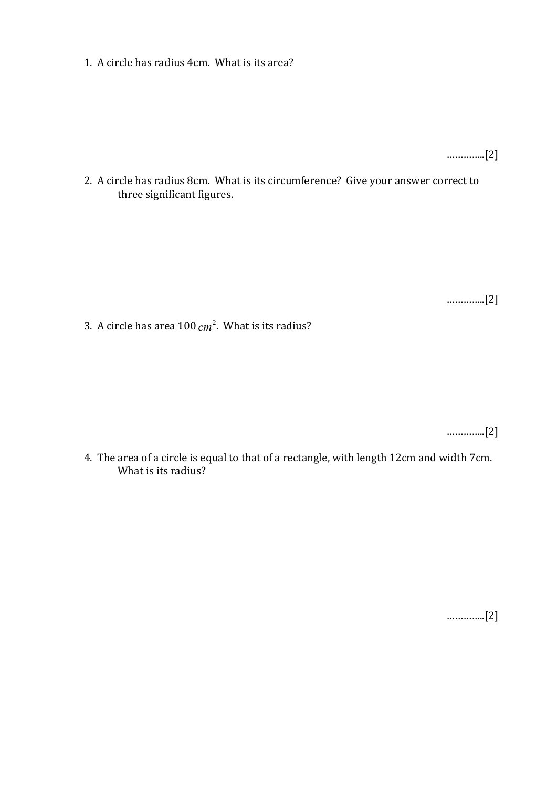1. A circle has radius 4cm. What is its area?

…………..[2]

2. A circle has radius 8cm. What is its circumference? Give your answer correct to three significant figures.

…………..[2]

3. A circle has area 100 *cm* 2 . What is its radius?

…………..[2]

4. The area of a circle is equal to that of a rectangle, with length 12cm and width 7cm. What is its radius?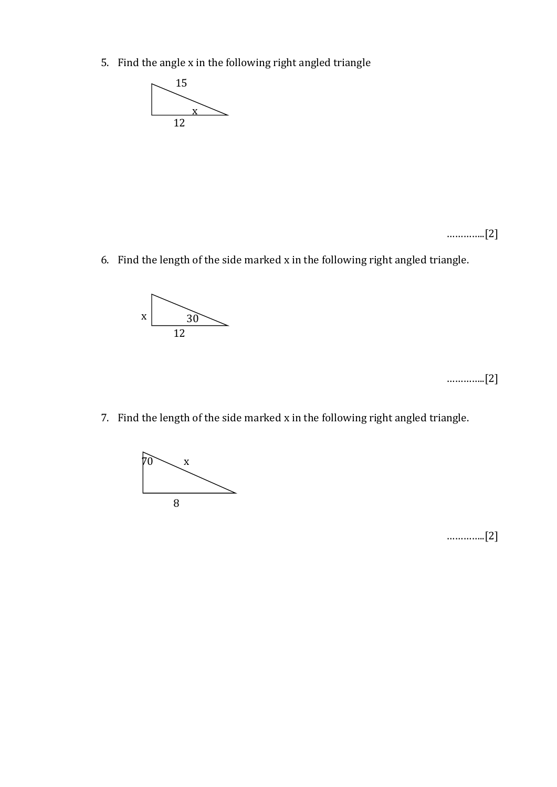5. Find the angle x in the following right angled triangle



…………..[2]

6. Find the length of the side marked x in the following right angled triangle.



…………..[2]

7. Find the length of the side marked x in the following right angled triangle.

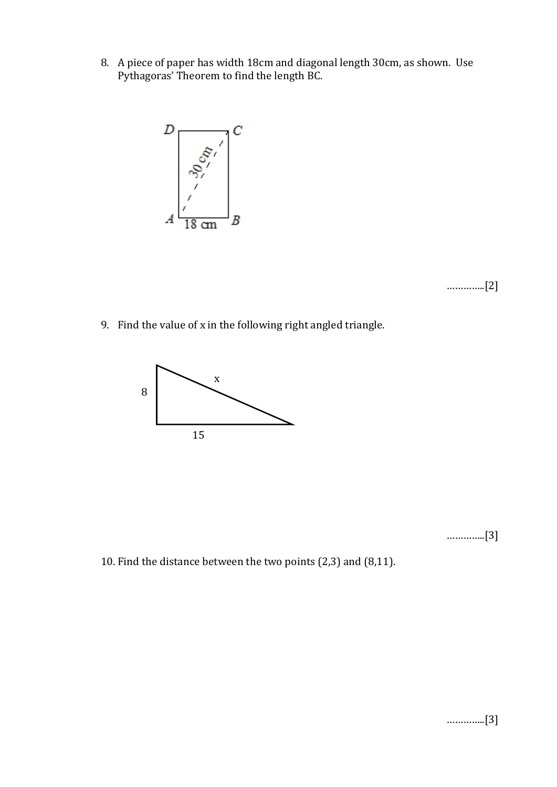8. A piece of paper has width 18cm and diagonal length 30cm, as shown. Use Pythagoras' Theorem to find the length BC.



…………..[2]

9. Find the value of x in the following right angled triangle.



…………..[3]

10. Find the distance between the two points (2,3) and (8,11).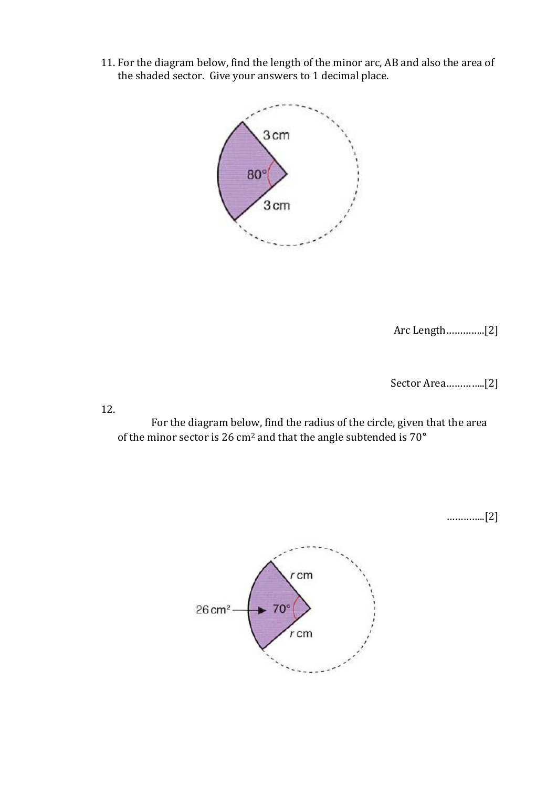11. For the diagram below, find the length of the minor arc, AB and also the area of the shaded sector. Give your answers to 1 decimal place.



Arc Length…………..[2]

Sector Area…………..[2]

12.

For the diagram below, find the radius of the circle, given that the area of the minor sector is 26 cm<sup>2</sup> and that the angle subtended is 70**°**

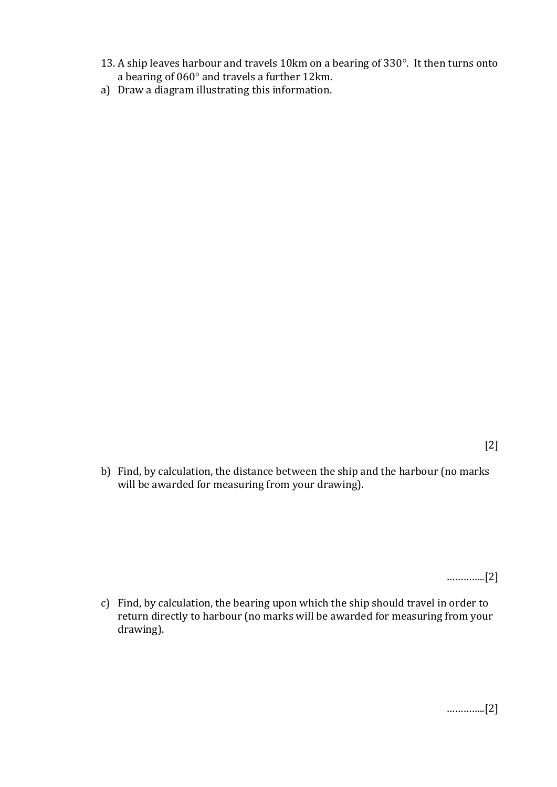- 13. A ship leaves harbour and travels 10km on a bearing of 330°. It then turns onto a bearing of  $060^\circ$  and travels a further 12km.
- a) Draw a diagram illustrating this information.

b) Find, by calculation, the distance between the ship and the harbour (no marks will be awarded for measuring from your drawing).

…………..[2]

c) Find, by calculation, the bearing upon which the ship should travel in order to return directly to harbour (no marks will be awarded for measuring from your drawing).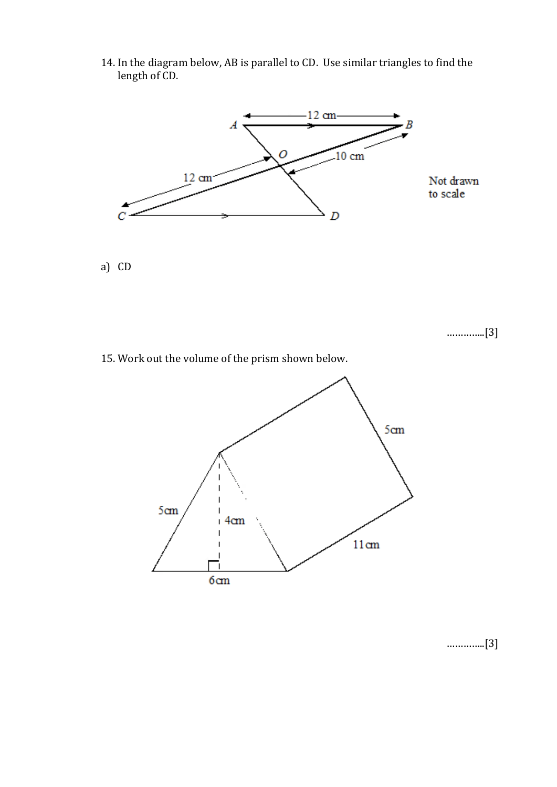14. In the diagram below, AB is parallel to CD. Use similar triangles to find the length of CD.



a) CD

…………..[3]

15. Work out the volume of the prism shown below.



…………..[3]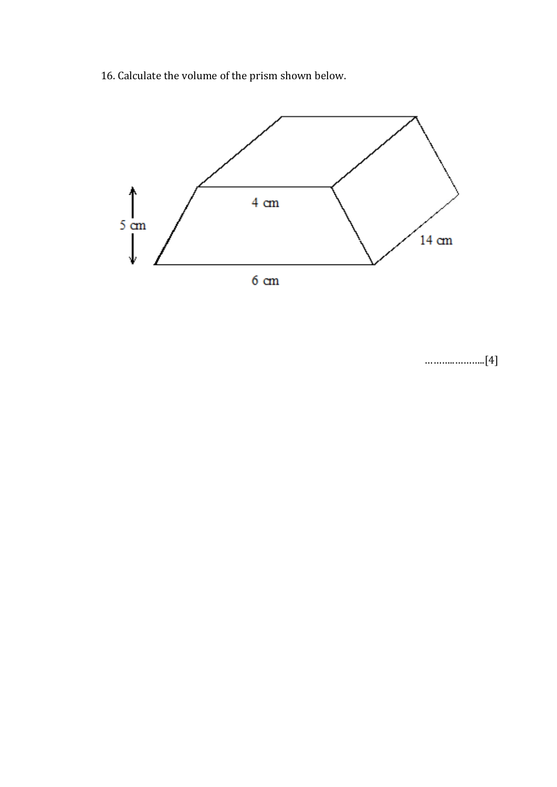16. Calculate the volume of the prism shown below.



………..………..[4]